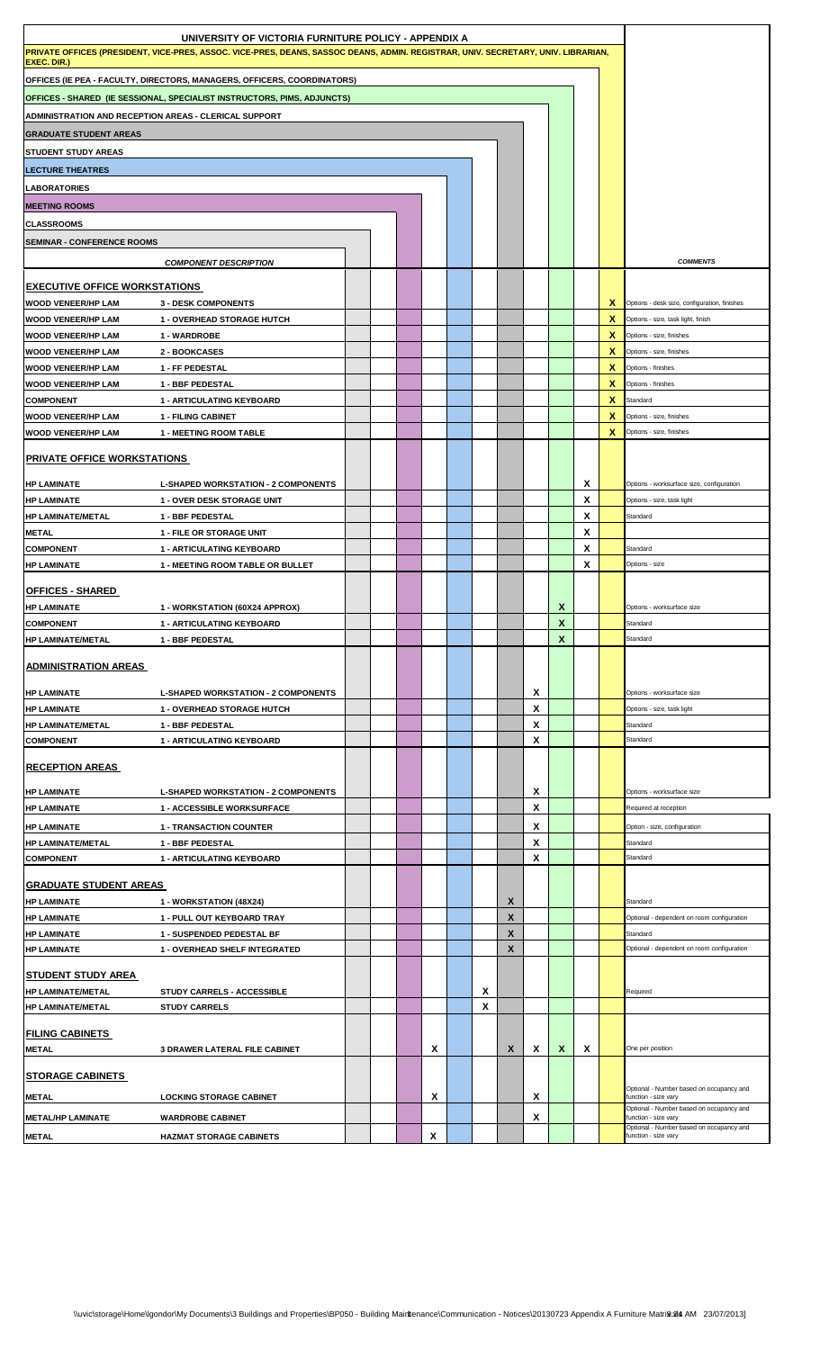| UNIVERSITY OF VICTORIA FURNITURE POLICY - APPENDIX A                                                                              |                                                      |  |  |  |   |  |   |        |        |              |                           |        |                                                                  |
|-----------------------------------------------------------------------------------------------------------------------------------|------------------------------------------------------|--|--|--|---|--|---|--------|--------|--------------|---------------------------|--------|------------------------------------------------------------------|
| PRIVATE OFFICES (PRESIDENT, VICE-PRES, ASSOC. VICE-PRES, DEANS, SASSOC DEANS, ADMIN. REGISTRAR, UNIV. SECRETARY, UNIV. LIBRARIAN, |                                                      |  |  |  |   |  |   |        |        |              |                           |        |                                                                  |
| EXEC. DIR.)<br>OFFICES (IE PEA - FACULTY, DIRECTORS, MANAGERS, OFFICERS, COORDINATORS)                                            |                                                      |  |  |  |   |  |   |        |        |              |                           |        |                                                                  |
|                                                                                                                                   |                                                      |  |  |  |   |  |   |        |        |              |                           |        |                                                                  |
| OFFICES - SHARED (IE SESSIONAL, SPECIALIST INSTRUCTORS, PIMS, ADJUNCTS)                                                           |                                                      |  |  |  |   |  |   |        |        |              |                           |        |                                                                  |
| ADMINISTRATION AND RECEPTION AREAS - CLERICAL SUPPORT                                                                             |                                                      |  |  |  |   |  |   |        |        |              |                           |        |                                                                  |
| <b>GRADUATE STUDENT AREAS</b>                                                                                                     |                                                      |  |  |  |   |  |   |        |        |              |                           |        |                                                                  |
| <b>STUDENT STUDY AREAS</b>                                                                                                        |                                                      |  |  |  |   |  |   |        |        |              |                           |        |                                                                  |
| <b>LECTURE THEATRES</b>                                                                                                           |                                                      |  |  |  |   |  |   |        |        |              |                           |        |                                                                  |
| <b>LABORATORIES</b>                                                                                                               |                                                      |  |  |  |   |  |   |        |        |              |                           |        |                                                                  |
| <b>MEETING ROOMS</b>                                                                                                              |                                                      |  |  |  |   |  |   |        |        |              |                           |        |                                                                  |
| <b>CLASSROOMS</b>                                                                                                                 |                                                      |  |  |  |   |  |   |        |        |              |                           |        |                                                                  |
| <b>SEMINAR - CONFERENCE ROOMS</b>                                                                                                 |                                                      |  |  |  |   |  |   |        |        |              |                           |        |                                                                  |
|                                                                                                                                   | <b>COMPONENT DESCRIPTION</b>                         |  |  |  |   |  |   |        |        |              |                           |        | <b>COMMENTS</b>                                                  |
| <b>EXECUTIVE OFFICE WORKSTATIONS</b>                                                                                              |                                                      |  |  |  |   |  |   |        |        |              |                           |        |                                                                  |
| <b>WOOD VENEER/HP LAM</b>                                                                                                         | <b>3 - DESK COMPONENTS</b>                           |  |  |  |   |  |   |        |        |              |                           | X.     | Options - desk size, configuration, finishes                     |
| <b>WOOD VENEER/HP LAM</b>                                                                                                         | <b>1 - OVERHEAD STORAGE HUTCH</b>                    |  |  |  |   |  |   |        |        |              |                           | x      | Options - size, task light, finish                               |
| <b>WOOD VENEER/HP LAM</b>                                                                                                         | 1 - WARDROBE                                         |  |  |  |   |  |   |        |        |              |                           | X      | Options - size, finishes                                         |
| <b>WOOD VENEER/HP LAM</b>                                                                                                         | 2 - BOOKCASES                                        |  |  |  |   |  |   |        |        |              |                           | X      | Options - size, finishes                                         |
| <b>WOOD VENEER/HP LAM</b><br><b>WOOD VENEER/HP LAM</b>                                                                            | 1 - FF PEDESTAL                                      |  |  |  |   |  |   |        |        |              |                           | x<br>x | Options - finishes<br>Options - finishes                         |
| <b>COMPONENT</b>                                                                                                                  | 1 - BBF PEDESTAL<br><b>1 - ARTICULATING KEYBOARD</b> |  |  |  |   |  |   |        |        |              |                           | x      | Standard                                                         |
| WOOD VENEER/HP LAM                                                                                                                | <b>1 - FILING CABINET</b>                            |  |  |  |   |  |   |        |        |              |                           | x      | Options - size, finishes                                         |
| WOOD VENEER/HP LAM                                                                                                                | <b>1 - MEETING ROOM TABLE</b>                        |  |  |  |   |  |   |        |        |              |                           | X      | Options - size, finishes                                         |
|                                                                                                                                   |                                                      |  |  |  |   |  |   |        |        |              |                           |        |                                                                  |
| <b>PRIVATE OFFICE WORKSTATIONS</b>                                                                                                |                                                      |  |  |  |   |  |   |        |        |              |                           |        |                                                                  |
| <b>HP LAMINATE</b>                                                                                                                | <b>L-SHAPED WORKSTATION - 2 COMPONENTS</b>           |  |  |  |   |  |   |        |        |              | X                         |        | Options - worksurface size, configuration                        |
| HP LAMINATE                                                                                                                       | <b>1 - OVER DESK STORAGE UNIT</b>                    |  |  |  |   |  |   |        |        |              | Χ                         |        | Options - size, task light                                       |
| HP LAMINATE/METAL                                                                                                                 | 1 - BBF PEDESTAL                                     |  |  |  |   |  |   |        |        |              | X                         |        | Standard                                                         |
| <b>METAL</b>                                                                                                                      | <b>1 - FILE OR STORAGE UNIT</b>                      |  |  |  |   |  |   |        |        |              | Χ                         |        |                                                                  |
| <b>COMPONENT</b>                                                                                                                  | <b>1 - ARTICULATING KEYBOARD</b>                     |  |  |  |   |  |   |        |        |              | X                         |        | Standard                                                         |
| HP LAMINATE                                                                                                                       | 1 - MEETING ROOM TABLE OR BULLET                     |  |  |  |   |  |   |        |        |              | X                         |        | Options - size                                                   |
| <b>OFFICES - SHARED</b>                                                                                                           |                                                      |  |  |  |   |  |   |        |        |              |                           |        |                                                                  |
| <b>HP LAMINATE</b>                                                                                                                | 1 - WORKSTATION (60X24 APPROX)                       |  |  |  |   |  |   |        |        | X            |                           |        | Options - worksurface size                                       |
| <b>COMPONENT</b>                                                                                                                  | 1 - ARTICULATING KEYBOARD                            |  |  |  |   |  |   |        |        | $\mathbf{x}$ |                           |        | Standard                                                         |
| HP LAMINATE/METAL                                                                                                                 | 1 - BBF PEDESTAL                                     |  |  |  |   |  |   |        |        | X            |                           |        | Standard                                                         |
| <u>ADMINISTRATION AREAS</u>                                                                                                       |                                                      |  |  |  |   |  |   |        |        |              |                           |        |                                                                  |
|                                                                                                                                   |                                                      |  |  |  |   |  |   |        |        |              |                           |        |                                                                  |
| <b>HP LAMINATE</b>                                                                                                                | <b>L-SHAPED WORKSTATION - 2 COMPONENTS</b>           |  |  |  |   |  |   |        | X      |              |                           |        | Options - worksurface size                                       |
| HP LAMINATE                                                                                                                       | 1 - OVERHEAD STORAGE HUTCH                           |  |  |  |   |  |   |        | X      |              |                           |        | Options - size, task light                                       |
| HP LAMINATE/METAL                                                                                                                 | 1 - BBF PEDESTAL                                     |  |  |  |   |  |   |        | X      |              |                           |        | Standard                                                         |
| <b>COMPONENT</b>                                                                                                                  | <b>1 - ARTICULATING KEYBOARD</b>                     |  |  |  |   |  |   |        | X      |              |                           |        | Standard                                                         |
| <u>RECEPTION AREAS</u>                                                                                                            |                                                      |  |  |  |   |  |   |        |        |              |                           |        |                                                                  |
|                                                                                                                                   |                                                      |  |  |  |   |  |   |        |        |              |                           |        |                                                                  |
| <b>HP LAMINATE</b><br><b>HP LAMINATE</b>                                                                                          | <b>L-SHAPED WORKSTATION - 2 COMPONENTS</b>           |  |  |  |   |  |   |        | X<br>X |              |                           |        | Options - worksurface size<br>Required at reception              |
|                                                                                                                                   | <b>1 - ACCESSIBLE WORKSURFACE</b>                    |  |  |  |   |  |   |        |        |              |                           |        |                                                                  |
| <b>HP LAMINATE</b>                                                                                                                | <b>1 - TRANSACTION COUNTER</b>                       |  |  |  |   |  |   |        | X<br>X |              |                           |        | Option - size, configuration<br>Standard                         |
| HP LAMINATE/METAL<br><b>COMPONENT</b>                                                                                             | 1 - BBF PEDESTAL<br>1 - ARTICULATING KEYBOARD        |  |  |  |   |  |   |        | X      |              |                           |        | Standard                                                         |
|                                                                                                                                   |                                                      |  |  |  |   |  |   |        |        |              |                           |        |                                                                  |
| GRADUATE STUDENT AREAS                                                                                                            |                                                      |  |  |  |   |  |   |        |        |              |                           |        |                                                                  |
| HP LAMINATE                                                                                                                       | 1 - WORKSTATION (48X24)                              |  |  |  |   |  |   | X      |        |              |                           |        | Standard                                                         |
| <b>HP LAMINATE</b>                                                                                                                | 1 - PULL OUT KEYBOARD TRAY                           |  |  |  |   |  |   | X      |        |              |                           |        | Optional - dependent on room configuration                       |
| HP LAMINATE                                                                                                                       | 1 - SUSPENDED PEDESTAL BF                            |  |  |  |   |  |   | X<br>X |        |              |                           |        | Standard<br>Optional - dependent on room configuration           |
| <b>HP LAMINATE</b>                                                                                                                | 1 - OVERHEAD SHELF INTEGRATED                        |  |  |  |   |  |   |        |        |              |                           |        |                                                                  |
| STUDENT STUDY AREA                                                                                                                |                                                      |  |  |  |   |  |   |        |        |              |                           |        |                                                                  |
| HP LAMINATE/METAL                                                                                                                 | STUDY CARRELS - ACCESSIBLE                           |  |  |  |   |  | X |        |        |              |                           |        | Required                                                         |
| HP LAMINATE/METAL                                                                                                                 | <b>STUDY CARRELS</b>                                 |  |  |  |   |  | X |        |        |              |                           |        |                                                                  |
| <u>FILING CABINETS</u>                                                                                                            |                                                      |  |  |  |   |  |   |        |        |              |                           |        |                                                                  |
| METAL                                                                                                                             | <b>3 DRAWER LATERAL FILE CABINET</b>                 |  |  |  | X |  |   | X      | X      | X            | $\boldsymbol{\mathsf{x}}$ |        | One per position                                                 |
|                                                                                                                                   |                                                      |  |  |  |   |  |   |        |        |              |                           |        |                                                                  |
| <b>STORAGE CABINETS</b>                                                                                                           |                                                      |  |  |  |   |  |   |        |        |              |                           |        | Optional - Number based on occupancy and                         |
| <b>METAL</b>                                                                                                                      | <b>LOCKING STORAGE CABINET</b>                       |  |  |  | X |  |   |        | X      |              |                           |        | function - size vary<br>Optional - Number based on occupancy and |
| METAL/HP LAMINATE                                                                                                                 | <b>WARDROBE CABINET</b>                              |  |  |  |   |  |   |        | X      |              |                           |        | function - size vary                                             |
| METAL                                                                                                                             | <b>HAZMAT STORAGE CABINETS</b>                       |  |  |  | X |  |   |        |        |              |                           |        | Optional - Number based on occupancy and<br>function - size vary |